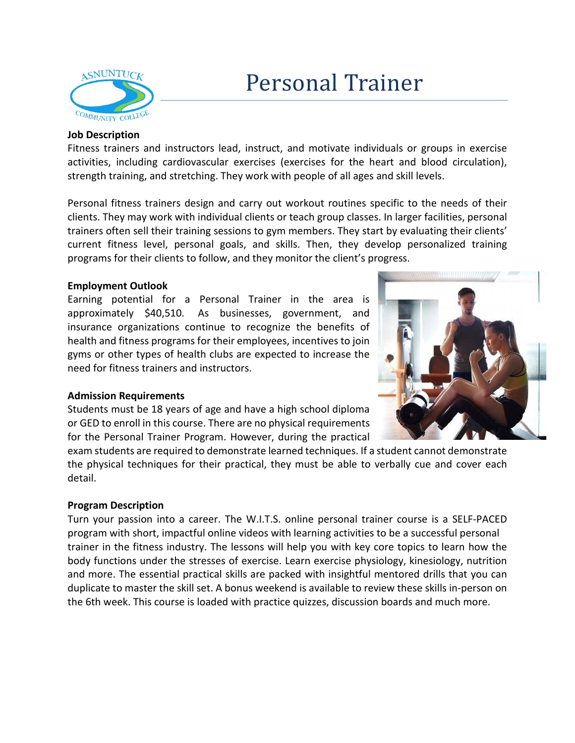

## **Job Description**

Fitness trainers and instructors lead, instruct, and motivate individuals or groups in exercise activities, including cardiovascular exercises (exercises for the heart and blood circulation), strength training, and stretching. They work with people of all ages and skill levels.

Personal fitness trainers design and carry out workout routines specific to the needs of their clients. They may work with individual clients or teach group classes. In larger facilities, personal trainers often sell their training sessions to gym members. They start by evaluating their clients' current fitness level, personal goals, and skills. Then, they develop personalized training programs for their clients to follow, and they monitor the client's progress.

# **Employment Outlook**

Earning potential for a Personal Trainer in the area is approximately \$40,510. As businesses, government, and insurance organizations continue to recognize the benefits of health and fitness programs for their employees, incentives to join gyms or other types of health clubs are expected to increase the need for fitness trainers and instructors.



### **Admission Requirements**

Students must be 18 years of age and have a high school diploma or GED to enroll in this course. There are no physical requirements for the Personal Trainer Program. However, during the practical

exam students are required to demonstrate learned techniques. If a student cannot demonstrate the physical techniques for their practical, they must be able to verbally cue and cover each detail.

### **Program Description**

Turn your passion into a career. The W.I.T.S. online personal trainer course is a SELF-PACED program with short, impactful online videos with learning activities to be a successful personal trainer in the fitness industry. The lessons will help you with key core topics to learn how the body functions under the stresses of exercise. Learn exercise physiology, kinesiology, nutrition and more. The essential practical skills are packed with insightful mentored drills that you can duplicate to master the skill set. A bonus weekend is available to review these skills in-person on the 6th week. This course is loaded with practice quizzes, discussion boards and much more.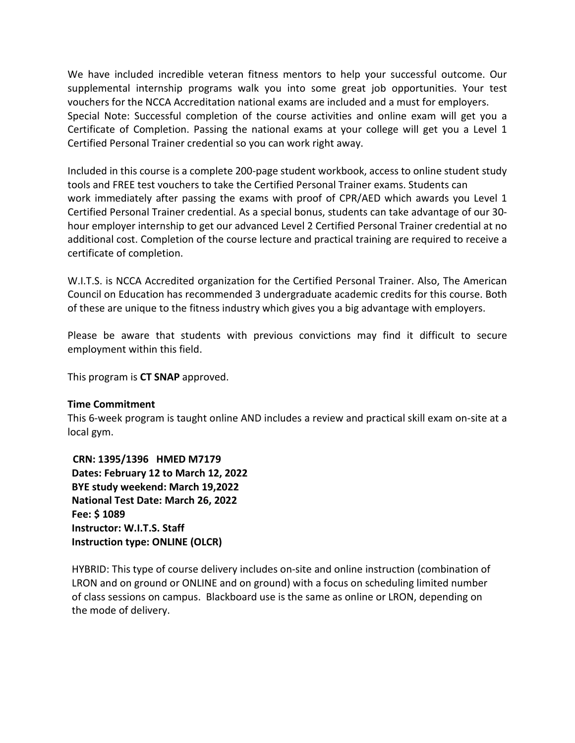We have included incredible veteran fitness mentors to help your successful outcome. Our supplemental internship programs walk you into some great job opportunities. Your test vouchers for the NCCA Accreditation national exams are included and a must for employers. Special Note: Successful completion of the course activities and online exam will get you a Certificate of Completion. Passing the national exams at your college will get you a Level 1 Certified Personal Trainer credential so you can work right away.

Included in this course is a complete 200-page student workbook, access to online student study tools and FREE test vouchers to take the Certified Personal Trainer exams. Students can work immediately after passing the exams with proof of CPR/AED which awards you Level 1 Certified Personal Trainer credential. As a special bonus, students can take advantage of our 30 hour employer internship to get our advanced Level 2 Certified Personal Trainer credential at no additional cost. Completion of the course lecture and practical training are required to receive a certificate of completion.

W.I.T.S. is NCCA Accredited organization for the Certified Personal Trainer. Also, The American Council on Education has recommended 3 undergraduate academic credits for this course. Both of these are unique to the fitness industry which gives you a big advantage with employers.

Please be aware that students with previous convictions may find it difficult to secure employment within this field.

This program is **CT SNAP** approved.

### **Time Commitment**

This 6-week program is taught online AND includes a review and practical skill exam on-site at a local gym.

**CRN: 1395/1396 HMED M7179 Dates: February 12 to March 12, 2022 BYE study weekend: March 19,2022 National Test Date: March 26, 2022 Fee: \$ 1089 Instructor: W.I.T.S. Staff Instruction type: ONLINE (OLCR)**

HYBRID: This type of course delivery includes on-site and online instruction (combination of LRON and on ground or ONLINE and on ground) with a focus on scheduling limited number of class sessions on campus. Blackboard use is the same as online or LRON, depending on the mode of delivery.